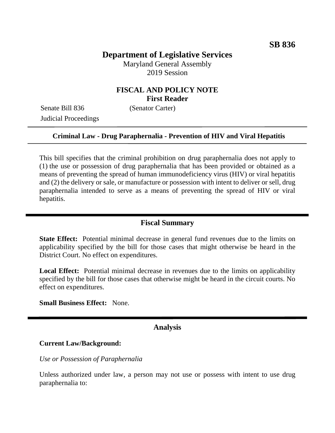# **Department of Legislative Services**

Maryland General Assembly 2019 Session

# **FISCAL AND POLICY NOTE First Reader**

Senate Bill 836 (Senator Carter) Judicial Proceedings

### **Criminal Law - Drug Paraphernalia - Prevention of HIV and Viral Hepatitis**

This bill specifies that the criminal prohibition on drug paraphernalia does not apply to (1) the use or possession of drug paraphernalia that has been provided or obtained as a means of preventing the spread of human immunodeficiency virus (HIV) or viral hepatitis and (2) the delivery or sale, or manufacture or possession with intent to deliver or sell, drug paraphernalia intended to serve as a means of preventing the spread of HIV or viral hepatitis.

#### **Fiscal Summary**

**State Effect:** Potential minimal decrease in general fund revenues due to the limits on applicability specified by the bill for those cases that might otherwise be heard in the District Court. No effect on expenditures.

Local Effect: Potential minimal decrease in revenues due to the limits on applicability specified by the bill for those cases that otherwise might be heard in the circuit courts. No effect on expenditures.

**Small Business Effect:** None.

### **Analysis**

#### **Current Law/Background:**

*Use or Possession of Paraphernalia* 

Unless authorized under law, a person may not use or possess with intent to use drug paraphernalia to: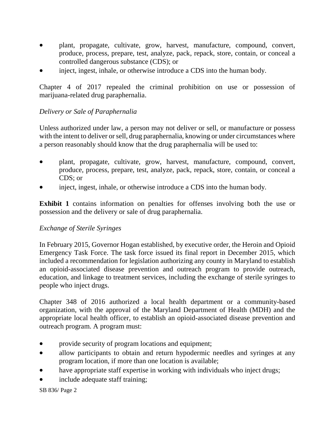- plant, propagate, cultivate, grow, harvest, manufacture, compound, convert, produce, process, prepare, test, analyze, pack, repack, store, contain, or conceal a controlled dangerous substance (CDS); or
- inject, ingest, inhale, or otherwise introduce a CDS into the human body.

Chapter 4 of 2017 repealed the criminal prohibition on use or possession of marijuana-related drug paraphernalia.

# *Delivery or Sale of Paraphernalia*

Unless authorized under law, a person may not deliver or sell, or manufacture or possess with the intent to deliver or sell, drug paraphernalia, knowing or under circumstances where a person reasonably should know that the drug paraphernalia will be used to:

- plant, propagate, cultivate, grow, harvest, manufacture, compound, convert, produce, process, prepare, test, analyze, pack, repack, store, contain, or conceal a CDS; or
- inject, ingest, inhale, or otherwise introduce a CDS into the human body.

**Exhibit 1** contains information on penalties for offenses involving both the use or possession and the delivery or sale of drug paraphernalia.

### *Exchange of Sterile Syringes*

In February 2015, Governor Hogan established, by executive order, the Heroin and Opioid Emergency Task Force. The task force issued its final report in December 2015, which included a recommendation for legislation authorizing any county in Maryland to establish an opioid-associated disease prevention and outreach program to provide outreach, education, and linkage to treatment services, including the exchange of sterile syringes to people who inject drugs.

Chapter 348 of 2016 authorized a local health department or a community-based organization, with the approval of the Maryland Department of Health (MDH) and the appropriate local health officer, to establish an opioid-associated disease prevention and outreach program. A program must:

- provide security of program locations and equipment;
- allow participants to obtain and return hypodermic needles and syringes at any program location, if more than one location is available;
- have appropriate staff expertise in working with individuals who inject drugs;
- include adequate staff training;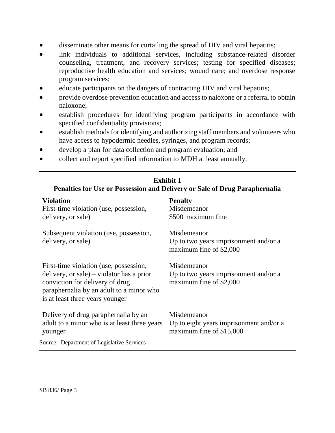- disseminate other means for curtailing the spread of HIV and viral hepatitis;
- link individuals to additional services, including substance-related disorder counseling, treatment, and recovery services; testing for specified diseases; reproductive health education and services; wound care; and overdose response program services;
- educate participants on the dangers of contracting HIV and viral hepatitis;
- provide overdose prevention education and access to naloxone or a referral to obtain naloxone;
- establish procedures for identifying program participants in accordance with specified confidentiality provisions;
- establish methods for identifying and authorizing staff members and volunteers who have access to hypodermic needles, syringes, and program records;
- develop a plan for data collection and program evaluation; and
- collect and report specified information to MDH at least annually.

| <b>Exhibit 1</b><br>Penalties for Use or Possession and Delivery or Sale of Drug Paraphernalia                                                                                                        |                                                                                    |
|-------------------------------------------------------------------------------------------------------------------------------------------------------------------------------------------------------|------------------------------------------------------------------------------------|
| <b>Violation</b><br>First-time violation (use, possession,<br>delivery, or sale)                                                                                                                      | <b>Penalty</b><br>Misdemeanor<br>\$500 maximum fine                                |
| Subsequent violation (use, possession,<br>delivery, or sale)                                                                                                                                          | Misdemeanor<br>Up to two years imprisonment and/or a<br>maximum fine of \$2,000    |
| First-time violation (use, possession,<br>delivery, or sale) – violator has a prior<br>conviction for delivery of drug<br>paraphernalia by an adult to a minor who<br>is at least three years younger | Misdemeanor<br>Up to two years imprisonment and/or a<br>maximum fine of \$2,000    |
| Delivery of drug paraphernalia by an<br>adult to a minor who is at least three years<br>younger                                                                                                       | Misdemeanor<br>Up to eight years imprisonment and/or a<br>maximum fine of \$15,000 |
| <b>Source: Department of Legislative Services</b>                                                                                                                                                     |                                                                                    |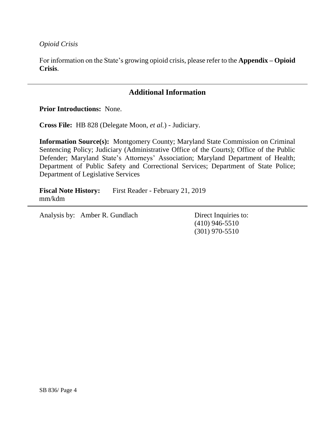*Opioid Crisis*

For information on the State's growing opioid crisis, please refer to the **Appendix – Opioid Crisis**.

# **Additional Information**

**Prior Introductions:** None.

**Cross File:** HB 828 (Delegate Moon, *et al.*) - Judiciary.

**Information Source(s):** Montgomery County; Maryland State Commission on Criminal Sentencing Policy; Judiciary (Administrative Office of the Courts); Office of the Public Defender; Maryland State's Attorneys' Association; Maryland Department of Health; Department of Public Safety and Correctional Services; Department of State Police; Department of Legislative Services

**Fiscal Note History:** First Reader - February 21, 2019 mm/kdm

Analysis by: Amber R. Gundlach Direct Inquiries to:

(410) 946-5510 (301) 970-5510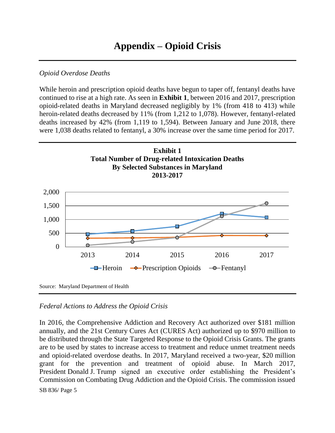# *Opioid Overdose Deaths*

While heroin and prescription opioid deaths have begun to taper off, fentanyl deaths have continued to rise at a high rate. As seen in **Exhibit 1**, between 2016 and 2017, prescription opioid-related deaths in Maryland decreased negligibly by 1% (from 418 to 413) while heroin-related deaths decreased by 11% (from 1,212 to 1,078). However, fentanyl-related deaths increased by 42% (from 1,119 to 1,594). Between January and June 2018, there were 1,038 deaths related to fentanyl, a 30% increase over the same time period for 2017.



### *Federal Actions to Address the Opioid Crisis*

SB 836/ Page 5 In 2016, the Comprehensive Addiction and Recovery Act authorized over \$181 million annually, and the 21st Century Cures Act (CURES Act) authorized up to \$970 million to be distributed through the State Targeted Response to the Opioid Crisis Grants. The grants are to be used by states to increase access to treatment and reduce unmet treatment needs and opioid-related overdose deaths. In 2017, Maryland received a two-year, \$20 million grant for the prevention and treatment of opioid abuse. In March 2017, President Donald J. Trump signed an executive order establishing the President's Commission on Combating Drug Addiction and the Opioid Crisis. The commission issued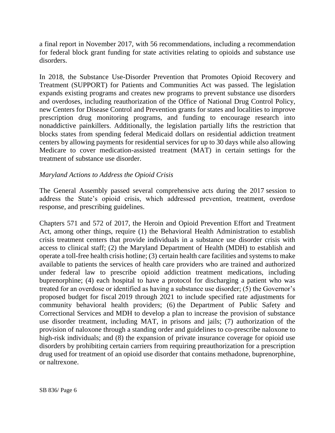a final report in November 2017, with 56 recommendations, including a recommendation for federal block grant funding for state activities relating to opioids and substance use disorders.

In 2018, the Substance Use-Disorder Prevention that Promotes Opioid Recovery and Treatment (SUPPORT) for Patients and Communities Act was passed. The legislation expands existing programs and creates new programs to prevent substance use disorders and overdoses, including reauthorization of the Office of National Drug Control Policy, new Centers for Disease Control and Prevention grants for states and localities to improve prescription drug monitoring programs, and funding to encourage research into nonaddictive painkillers. Additionally, the legislation partially lifts the restriction that blocks states from spending federal Medicaid dollars on residential addiction treatment centers by allowing payments for residential services for up to 30 days while also allowing Medicare to cover medication-assisted treatment (MAT) in certain settings for the treatment of substance use disorder.

### *Maryland Actions to Address the Opioid Crisis*

The General Assembly passed several comprehensive acts during the 2017 session to address the State's opioid crisis, which addressed prevention, treatment, overdose response, and prescribing guidelines.

Chapters 571 and 572 of 2017, the Heroin and Opioid Prevention Effort and Treatment Act, among other things, require (1) the Behavioral Health Administration to establish crisis treatment centers that provide individuals in a substance use disorder crisis with access to clinical staff; (2) the Maryland Department of Health (MDH) to establish and operate a toll-free health crisis hotline; (3) certain health care facilities and systems to make available to patients the services of health care providers who are trained and authorized under federal law to prescribe opioid addiction treatment medications, including buprenorphine; (4) each hospital to have a protocol for discharging a patient who was treated for an overdose or identified as having a substance use disorder; (5) the Governor's proposed budget for fiscal 2019 through 2021 to include specified rate adjustments for community behavioral health providers; (6) the Department of Public Safety and Correctional Services and MDH to develop a plan to increase the provision of substance use disorder treatment, including MAT, in prisons and jails; (7) authorization of the provision of naloxone through a standing order and guidelines to co-prescribe naloxone to high-risk individuals; and (8) the expansion of private insurance coverage for opioid use disorders by prohibiting certain carriers from requiring preauthorization for a prescription drug used for treatment of an opioid use disorder that contains methadone, buprenorphine, or naltrexone.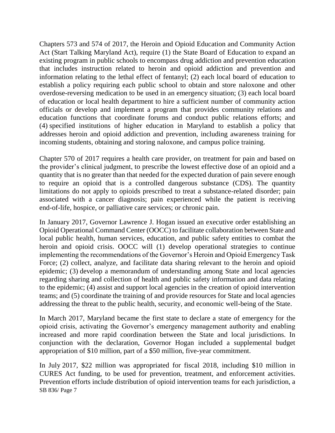Chapters 573 and 574 of 2017, the Heroin and Opioid Education and Community Action Act (Start Talking Maryland Act), require (1) the State Board of Education to expand an existing program in public schools to encompass drug addiction and prevention education that includes instruction related to heroin and opioid addiction and prevention and information relating to the lethal effect of fentanyl; (2) each local board of education to establish a policy requiring each public school to obtain and store naloxone and other overdose-reversing medication to be used in an emergency situation; (3) each local board of education or local health department to hire a sufficient number of community action officials or develop and implement a program that provides community relations and education functions that coordinate forums and conduct public relations efforts; and (4) specified institutions of higher education in Maryland to establish a policy that addresses heroin and opioid addiction and prevention, including awareness training for incoming students, obtaining and storing naloxone, and campus police training.

Chapter 570 of 2017 requires a health care provider, on treatment for pain and based on the provider's clinical judgment, to prescribe the lowest effective dose of an opioid and a quantity that is no greater than that needed for the expected duration of pain severe enough to require an opioid that is a controlled dangerous substance (CDS). The quantity limitations do not apply to opioids prescribed to treat a substance-related disorder; pain associated with a cancer diagnosis; pain experienced while the patient is receiving end-of-life, hospice, or palliative care services; or chronic pain.

In January 2017, Governor Lawrence J. Hogan issued an executive order establishing an Opioid Operational Command Center (OOCC) to facilitate collaboration between State and local public health, human services, education, and public safety entities to combat the heroin and opioid crisis. OOCC will (1) develop operational strategies to continue implementing the recommendations of the Governor's Heroin and Opioid Emergency Task Force; (2) collect, analyze, and facilitate data sharing relevant to the heroin and opioid epidemic; (3) develop a memorandum of understanding among State and local agencies regarding sharing and collection of health and public safety information and data relating to the epidemic; (4) assist and support local agencies in the creation of opioid intervention teams; and (5) coordinate the training of and provide resources for State and local agencies addressing the threat to the public health, security, and economic well-being of the State.

In March 2017, Maryland became the first state to declare a state of emergency for the opioid crisis, activating the Governor's emergency management authority and enabling increased and more rapid coordination between the State and local jurisdictions. In conjunction with the declaration, Governor Hogan included a supplemental budget appropriation of \$10 million, part of a \$50 million, five-year commitment.

SB 836/ Page 7 In July 2017, \$22 million was appropriated for fiscal 2018, including \$10 million in CURES Act funding, to be used for prevention, treatment, and enforcement activities. Prevention efforts include distribution of opioid intervention teams for each jurisdiction, a